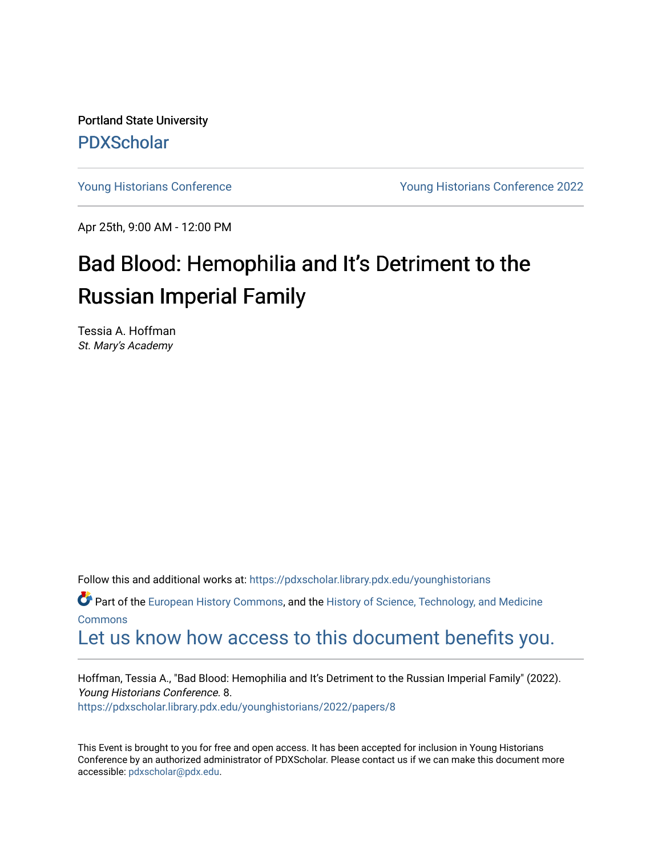Portland State University [PDXScholar](https://pdxscholar.library.pdx.edu/)

[Young Historians Conference](https://pdxscholar.library.pdx.edu/younghistorians) [Young Historians Conference 2022](https://pdxscholar.library.pdx.edu/younghistorians/2022) 

Apr 25th, 9:00 AM - 12:00 PM

# Bad Blood: Hemophilia and It's Detriment to the Russian Imperial Family

Tessia A. Hoffman St. Mary's Academy

Follow this and additional works at: [https://pdxscholar.library.pdx.edu/younghistorians](https://pdxscholar.library.pdx.edu/younghistorians?utm_source=pdxscholar.library.pdx.edu%2Fyounghistorians%2F2022%2Fpapers%2F8&utm_medium=PDF&utm_campaign=PDFCoverPages)

Part of the [European History Commons](http://network.bepress.com/hgg/discipline/492?utm_source=pdxscholar.library.pdx.edu%2Fyounghistorians%2F2022%2Fpapers%2F8&utm_medium=PDF&utm_campaign=PDFCoverPages), and the [History of Science, Technology, and Medicine](http://network.bepress.com/hgg/discipline/500?utm_source=pdxscholar.library.pdx.edu%2Fyounghistorians%2F2022%2Fpapers%2F8&utm_medium=PDF&utm_campaign=PDFCoverPages) [Commons](http://network.bepress.com/hgg/discipline/500?utm_source=pdxscholar.library.pdx.edu%2Fyounghistorians%2F2022%2Fpapers%2F8&utm_medium=PDF&utm_campaign=PDFCoverPages)

## [Let us know how access to this document benefits you.](http://library.pdx.edu/services/pdxscholar-services/pdxscholar-feedback/)

Hoffman, Tessia A., "Bad Blood: Hemophilia and It's Detriment to the Russian Imperial Family" (2022). Young Historians Conference. 8. [https://pdxscholar.library.pdx.edu/younghistorians/2022/papers/8](https://pdxscholar.library.pdx.edu/younghistorians/2022/papers/8?utm_source=pdxscholar.library.pdx.edu%2Fyounghistorians%2F2022%2Fpapers%2F8&utm_medium=PDF&utm_campaign=PDFCoverPages)

This Event is brought to you for free and open access. It has been accepted for inclusion in Young Historians Conference by an authorized administrator of PDXScholar. Please contact us if we can make this document more accessible: [pdxscholar@pdx.edu.](mailto:pdxscholar@pdx.edu)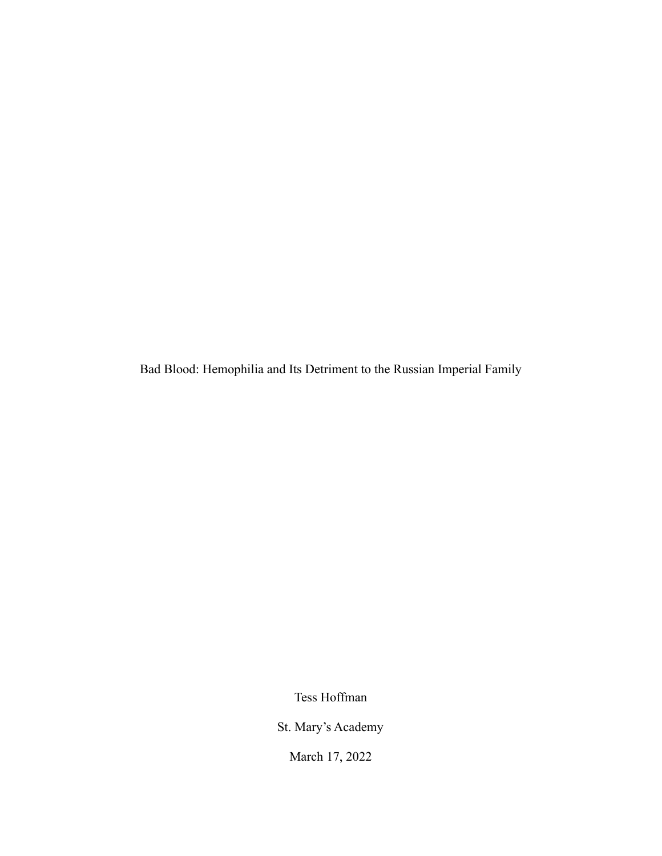Bad Blood: Hemophilia and Its Detriment to the Russian Imperial Family

Tess Hoffman

St. Mary's Academy

March 17, 2022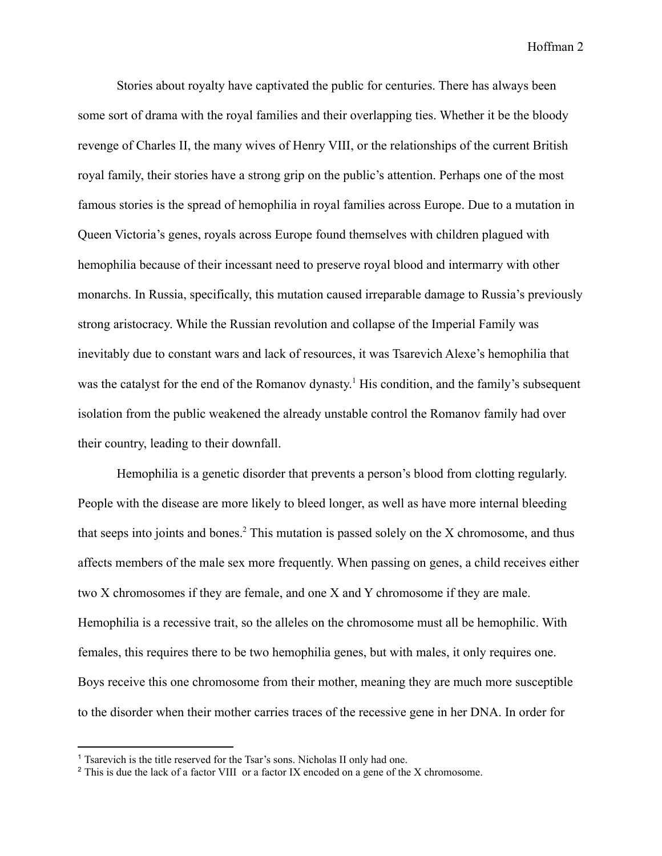Stories about royalty have captivated the public for centuries. There has always been some sort of drama with the royal families and their overlapping ties. Whether it be the bloody revenge of Charles II, the many wives of Henry VIII, or the relationships of the current British royal family, their stories have a strong grip on the public's attention. Perhaps one of the most famous stories is the spread of hemophilia in royal families across Europe. Due to a mutation in Queen Victoria's genes, royals across Europe found themselves with children plagued with hemophilia because of their incessant need to preserve royal blood and intermarry with other monarchs. In Russia, specifically, this mutation caused irreparable damage to Russia's previously strong aristocracy. While the Russian revolution and collapse of the Imperial Family was inevitably due to constant wars and lack of resources, it was Tsarevich Alexe's hemophilia that was the catalyst for the end of the Romanov dynasty.<sup>1</sup> His condition, and the family's subsequent isolation from the public weakened the already unstable control the Romanov family had over their country, leading to their downfall.

Hemophilia is a genetic disorder that prevents a person's blood from clotting regularly. People with the disease are more likely to bleed longer, as well as have more internal bleeding that seeps into joints and bones.<sup>2</sup> This mutation is passed solely on the  $X$  chromosome, and thus affects members of the male sex more frequently. When passing on genes, a child receives either two X chromosomes if they are female, and one X and Y chromosome if they are male. Hemophilia is a recessive trait, so the alleles on the chromosome must all be hemophilic. With females, this requires there to be two hemophilia genes, but with males, it only requires one. Boys receive this one chromosome from their mother, meaning they are much more susceptible to the disorder when their mother carries traces of the recessive gene in her DNA. In order for

<sup>&</sup>lt;sup>1</sup> Tsarevich is the title reserved for the Tsar's sons. Nicholas II only had one.

<sup>&</sup>lt;sup>2</sup> This is due the lack of a factor VIII or a factor IX encoded on a gene of the X chromosome.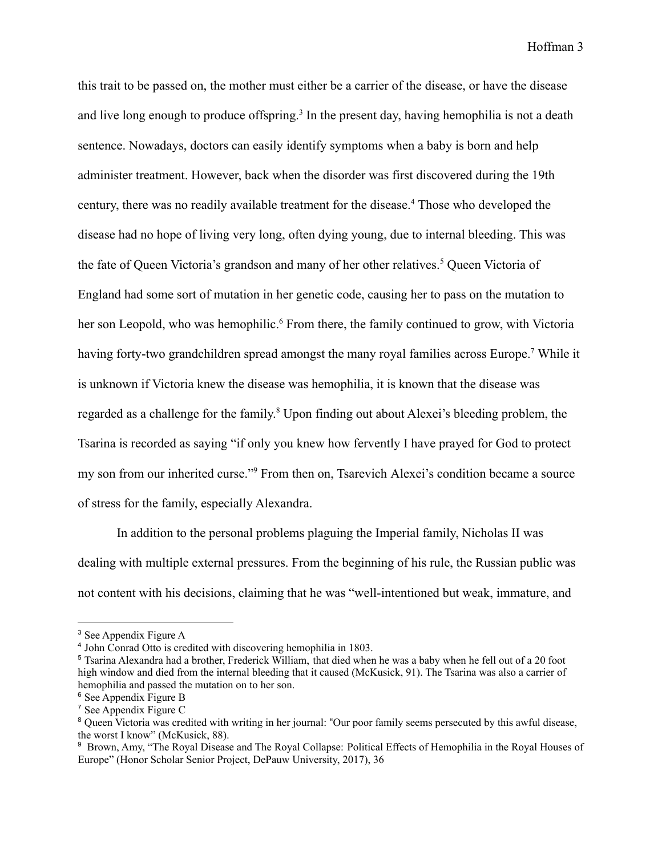this trait to be passed on, the mother must either be a carrier of the disease, or have the disease and live long enough to produce offspring.<sup>3</sup> In the present day, having hemophilia is not a death sentence. Nowadays, doctors can easily identify symptoms when a baby is born and help administer treatment. However, back when the disorder was first discovered during the 19th century, there was no readily available treatment for the disease.<sup>4</sup> Those who developed the disease had no hope of living very long, often dying young, due to internal bleeding. This was the fate of Queen Victoria's grandson and many of her other relatives.<sup>5</sup> Queen Victoria of England had some sort of mutation in her genetic code, causing her to pass on the mutation to her son Leopold, who was hemophilic.<sup>6</sup> From there, the family continued to grow, with Victoria having forty-two grandchildren spread amongst the many royal families across Europe.<sup>7</sup> While it is unknown if Victoria knew the disease was hemophilia, it is known that the disease was regarded as a challenge for the family.<sup>8</sup> Upon finding out about Alexei's bleeding problem, the Tsarina is recorded as saying "if only you knew how fervently I have prayed for God to protect my son from our inherited curse."<sup>9</sup> From then on, Tsarevich Alexei's condition became a source of stress for the family, especially Alexandra.

In addition to the personal problems plaguing the Imperial family, Nicholas II was dealing with multiple external pressures. From the beginning of his rule, the Russian public was not content with his decisions, claiming that he was "well-intentioned but weak, immature, and

<sup>3</sup> See Appendix Figure A

<sup>4</sup> John Conrad Otto is credited with discovering hemophilia in 1803.

<sup>5</sup> Tsarina Alexandra had a brother, Frederick William, that died when he was a baby when he fell out of a 20 foot high window and died from the internal bleeding that it caused (McKusick, 91). The Tsarina was also a carrier of hemophilia and passed the mutation on to her son.

<sup>6</sup> See Appendix Figure B

<sup>7</sup> See Appendix Figure C

<sup>&</sup>lt;sup>8</sup> Queen Victoria was credited with writing in her journal: "Our poor family seems persecuted by this awful disease, the worst I know" (McKusick, 88).

<sup>&</sup>lt;sup>9</sup> Brown, Amy, "The Royal Disease and The Royal Collapse: Political Effects of Hemophilia in the Royal Houses of Europe" (Honor Scholar Senior Project, DePauw University, 2017), 36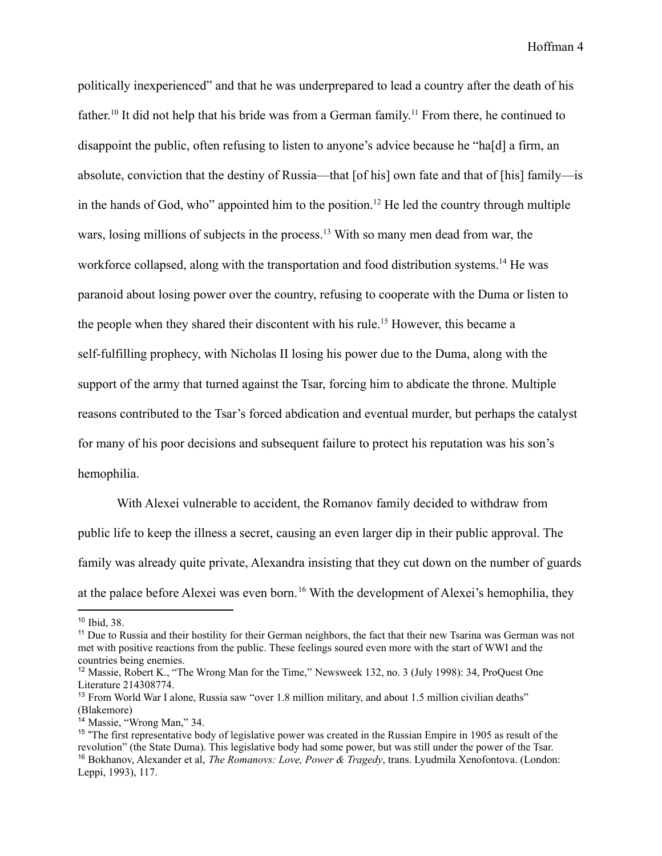politically inexperienced" and that he was underprepared to lead a country after the death of his father.<sup>10</sup> It did not help that his bride was from a German family.<sup>11</sup> From there, he continued to disappoint the public, often refusing to listen to anyone's advice because he "ha[d] a firm, an absolute, conviction that the destiny of Russia—that [of his] own fate and that of [his] family—is in the hands of God, who" appointed him to the position.<sup>12</sup> He led the country through multiple wars, losing millions of subjects in the process.<sup>13</sup> With so many men dead from war, the workforce collapsed, along with the transportation and food distribution systems.<sup>14</sup> He was paranoid about losing power over the country, refusing to cooperate with the Duma or listen to the people when they shared their discontent with his rule.<sup>15</sup> However, this became a self-fulfilling prophecy, with Nicholas II losing his power due to the Duma, along with the support of the army that turned against the Tsar, forcing him to abdicate the throne. Multiple reasons contributed to the Tsar's forced abdication and eventual murder, but perhaps the catalyst for many of his poor decisions and subsequent failure to protect his reputation was his son's hemophilia.

With Alexei vulnerable to accident, the Romanov family decided to withdraw from public life to keep the illness a secret, causing an even larger dip in their public approval. The family was already quite private, Alexandra insisting that they cut down on the number of guards at the palace before Alexei was even born.<sup>16</sup> With the development of Alexei's hemophilia, they

<sup>10</sup> Ibid, 38.

<sup>&</sup>lt;sup>11</sup> Due to Russia and their hostility for their German neighbors, the fact that their new Tsarina was German was not met with positive reactions from the public. These feelings soured even more with the start of WWI and the countries being enemies.

<sup>12</sup> Massie, Robert K., "The Wrong Man for the Time," Newsweek 132, no. 3 (July 1998): 34, ProQuest One Literature 214308774.

<sup>&</sup>lt;sup>13</sup> From World War I alone, Russia saw "over 1.8 million military, and about 1.5 million civilian deaths" (Blakemore)

<sup>14</sup> Massie, "Wrong Man," 34.

<sup>16</sup> Bokhanov, Alexander et al, *The Romanovs: Love, Power & Tragedy*, trans. Lyudmila Xenofontova. (London: Leppi, 1993), 117. <sup>15</sup> "The first representative body of legislative power was created in the Russian Empire in 1905 as result of the revolution" (the State Duma). This legislative body had some power, but was still under the power of the Tsar.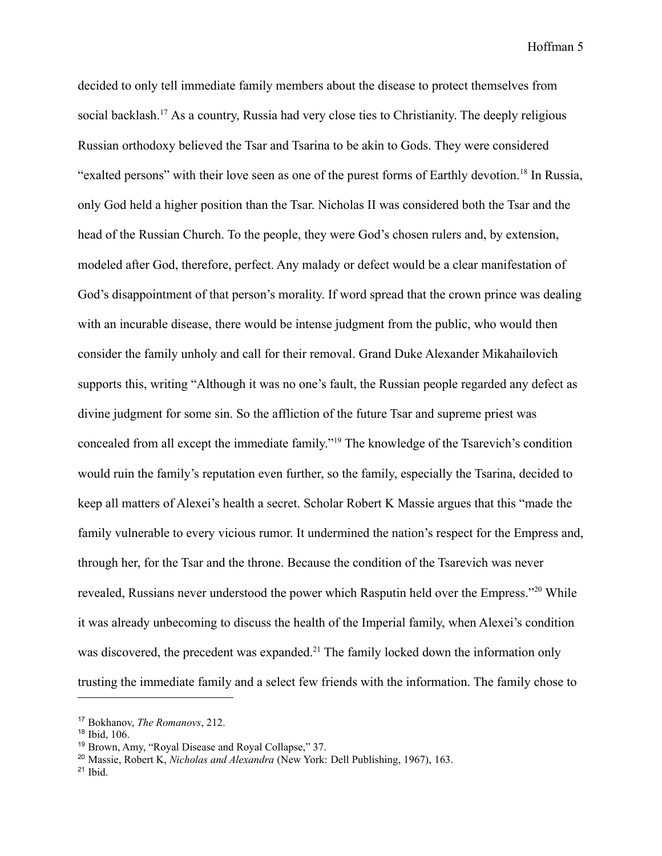decided to only tell immediate family members about the disease to protect themselves from social backlash.<sup>17</sup> As a country, Russia had very close ties to Christianity. The deeply religious Russian orthodoxy believed the Tsar and Tsarina to be akin to Gods. They were considered "exalted persons" with their love seen as one of the purest forms of Earthly devotion.<sup>18</sup> In Russia, only God held a higher position than the Tsar. Nicholas II was considered both the Tsar and the head of the Russian Church. To the people, they were God's chosen rulers and, by extension, modeled after God, therefore, perfect. Any malady or defect would be a clear manifestation of God's disappointment of that person's morality. If word spread that the crown prince was dealing with an incurable disease, there would be intense judgment from the public, who would then consider the family unholy and call for their removal. Grand Duke Alexander Mikahailovich supports this, writing "Although it was no one's fault, the Russian people regarded any defect as divine judgment for some sin. So the affliction of the future Tsar and supreme priest was concealed from all except the immediate family."<sup>19</sup> The knowledge of the Tsarevich's condition would ruin the family's reputation even further, so the family, especially the Tsarina, decided to keep all matters of Alexei's health a secret. Scholar Robert K Massie argues that this "made the family vulnerable to every vicious rumor. It undermined the nation's respect for the Empress and, through her, for the Tsar and the throne. Because the condition of the Tsarevich was never revealed, Russians never understood the power which Rasputin held over the Empress."<sup>20</sup> While it was already unbecoming to discuss the health of the Imperial family, when Alexei's condition was discovered, the precedent was expanded.<sup>21</sup> The family locked down the information only trusting the immediate family and a select few friends with the information. The family chose to

<sup>17</sup> Bokhanov, *The Romanovs*, 212.

<sup>18</sup> Ibid, 106.

<sup>19</sup> Brown, Amy, "Royal Disease and Royal Collapse," 37.

<sup>20</sup> Massie, Robert K, *Nicholas and Alexandra* (New York: Dell Publishing, 1967), 163.

 $21$  Ibid.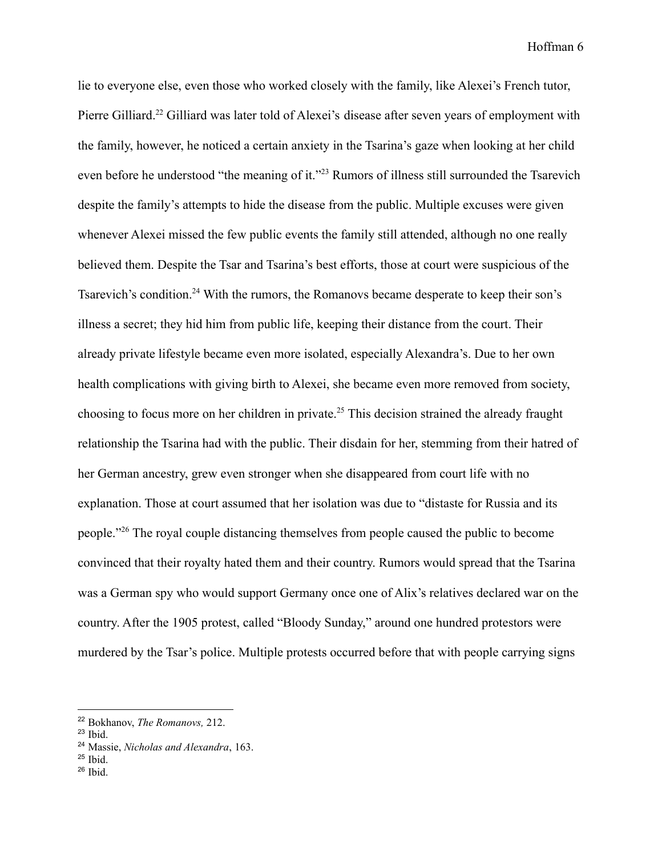lie to everyone else, even those who worked closely with the family, like Alexei's French tutor, Pierre Gilliard.<sup>22</sup> Gilliard was later told of Alexei's disease after seven years of employment with the family, however, he noticed a certain anxiety in the Tsarina's gaze when looking at her child even before he understood "the meaning of it."<sup>23</sup> Rumors of illness still surrounded the Tsarevich despite the family's attempts to hide the disease from the public. Multiple excuses were given whenever Alexei missed the few public events the family still attended, although no one really believed them. Despite the Tsar and Tsarina's best efforts, those at court were suspicious of the Tsarevich's condition.<sup>24</sup> With the rumors, the Romanovs became desperate to keep their son's illness a secret; they hid him from public life, keeping their distance from the court. Their already private lifestyle became even more isolated, especially Alexandra's. Due to her own health complications with giving birth to Alexei, she became even more removed from society, choosing to focus more on her children in private.<sup>25</sup> This decision strained the already fraught relationship the Tsarina had with the public. Their disdain for her, stemming from their hatred of her German ancestry, grew even stronger when she disappeared from court life with no explanation. Those at court assumed that her isolation was due to "distaste for Russia and its people."<sup>26</sup> The royal couple distancing themselves from people caused the public to become convinced that their royalty hated them and their country. Rumors would spread that the Tsarina was a German spy who would support Germany once one of Alix's relatives declared war on the country. After the 1905 protest, called "Bloody Sunday," around one hundred protestors were murdered by the Tsar's police. Multiple protests occurred before that with people carrying signs

<sup>22</sup> Bokhanov, *The Romanovs,* 212.

<sup>23</sup> Ibid.

<sup>24</sup> Massie, *Nicholas and Alexandra*, 163.

 $25$  Ibid.

 $26$  Ibid.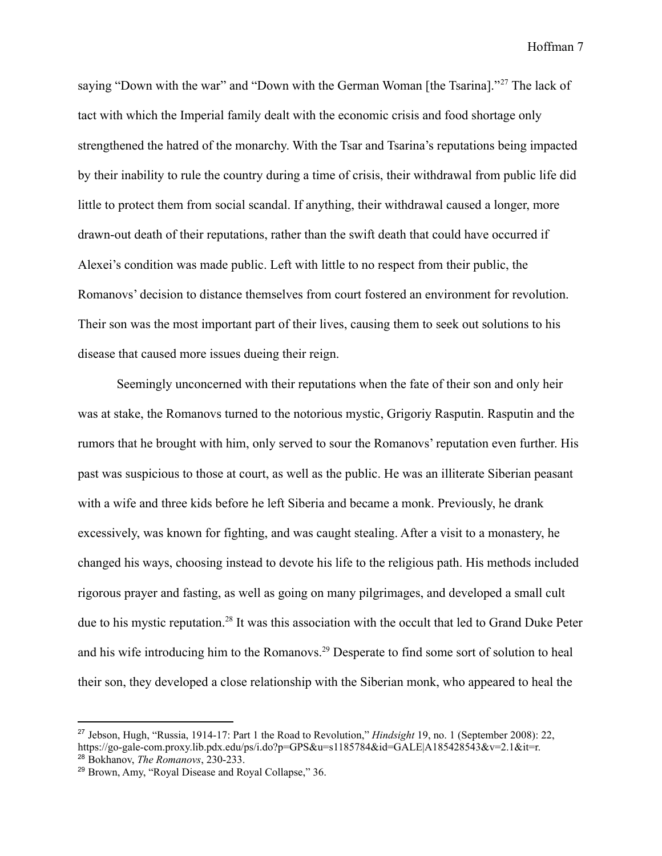saying "Down with the war" and "Down with the German Woman [the Tsarina]."<sup>27</sup> The lack of tact with which the Imperial family dealt with the economic crisis and food shortage only strengthened the hatred of the monarchy. With the Tsar and Tsarina's reputations being impacted by their inability to rule the country during a time of crisis, their withdrawal from public life did little to protect them from social scandal. If anything, their withdrawal caused a longer, more drawn-out death of their reputations, rather than the swift death that could have occurred if Alexei's condition was made public. Left with little to no respect from their public, the Romanovs' decision to distance themselves from court fostered an environment for revolution. Their son was the most important part of their lives, causing them to seek out solutions to his disease that caused more issues dueing their reign.

Seemingly unconcerned with their reputations when the fate of their son and only heir was at stake, the Romanovs turned to the notorious mystic, Grigoriy Rasputin. Rasputin and the rumors that he brought with him, only served to sour the Romanovs' reputation even further. His past was suspicious to those at court, as well as the public. He was an illiterate Siberian peasant with a wife and three kids before he left Siberia and became a monk. Previously, he drank excessively, was known for fighting, and was caught stealing. After a visit to a monastery, he changed his ways, choosing instead to devote his life to the religious path. His methods included rigorous prayer and fasting, as well as going on many pilgrimages, and developed a small cult due to his mystic reputation.<sup>28</sup> It was this association with the occult that led to Grand Duke Peter and his wife introducing him to the Romanovs.<sup>29</sup> Desperate to find some sort of solution to heal their son, they developed a close relationship with the Siberian monk, who appeared to heal the

<sup>28</sup> Bokhanov, *The Romanovs*, 230-233. <sup>27</sup> Jebson, Hugh, "Russia, 1914-17: Part 1 the Road to Revolution," *Hindsight* 19, no. 1 (September 2008): 22, https://go-gale-com.proxy.lib.pdx.edu/ps/i.do?p=GPS&u=s1185784&id=GALE|A185428543&v=2.1&it=r.

<sup>29</sup> Brown, Amy, "Royal Disease and Royal Collapse," 36.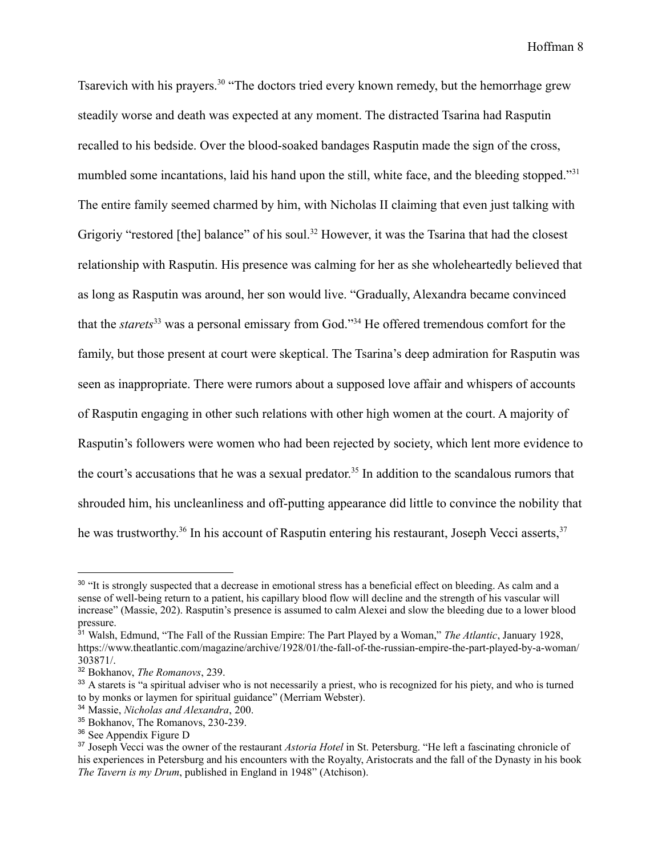Tsarevich with his prayers.<sup>30</sup> "The doctors tried every known remedy, but the hemorrhage grew steadily worse and death was expected at any moment. The distracted Tsarina had Rasputin recalled to his bedside. Over the blood-soaked bandages Rasputin made the sign of the cross, mumbled some incantations, laid his hand upon the still, white face, and the bleeding stopped."<sup>31</sup> The entire family seemed charmed by him, with Nicholas II claiming that even just talking with Grigoriy "restored [the] balance" of his soul.<sup>32</sup> However, it was the Tsarina that had the closest relationship with Rasputin. His presence was calming for her as she wholeheartedly believed that as long as Rasputin was around, her son would live. "Gradually, Alexandra became convinced that the *starets*<sup>33</sup> was a personal emissary from God."<sup>34</sup> He offered tremendous comfort for the family, but those present at court were skeptical. The Tsarina's deep admiration for Rasputin was seen as inappropriate. There were rumors about a supposed love affair and whispers of accounts of Rasputin engaging in other such relations with other high women at the court. A majority of Rasputin's followers were women who had been rejected by society, which lent more evidence to the court's accusations that he was a sexual predator.<sup>35</sup> In addition to the scandalous rumors that shrouded him, his uncleanliness and off-putting appearance did little to convince the nobility that he was trustworthy.<sup>36</sup> In his account of Rasputin entering his restaurant, Joseph Vecci asserts,<sup>37</sup>

<sup>&</sup>lt;sup>30</sup> "It is strongly suspected that a decrease in emotional stress has a beneficial effect on bleeding. As calm and a sense of well-being return to a patient, his capillary blood flow will decline and the strength of his vascular will increase" (Massie, 202). Rasputin's presence is assumed to calm Alexei and slow the bleeding due to a lower blood pressure.

<sup>31</sup> Walsh, Edmund, "The Fall of the Russian Empire: The Part Played by a Woman," *The Atlantic*, January 1928, https://www.theatlantic.com/magazine/archive/1928/01/the-fall-of-the-russian-empire-the-part-played-by-a-woman/ 303871/.

<sup>32</sup> Bokhanov, *The Romanovs*, 239.

<sup>&</sup>lt;sup>33</sup> A starets is "a spiritual adviser who is not necessarily a priest, who is recognized for his piety, and who is turned to by monks or laymen for spiritual guidance" (Merriam Webster).

<sup>34</sup> Massie, *Nicholas and Alexandra*, 200.

<sup>35</sup> Bokhanov, The Romanovs, 230-239.

<sup>36</sup> See Appendix Figure D

<sup>37</sup> Joseph Vecci was the owner of the restaurant *Astoria Hotel* in St. Petersburg. "He left a fascinating chronicle of his experiences in Petersburg and his encounters with the Royalty, Aristocrats and the fall of the Dynasty in his book *The Tavern is my Drum*, published in England in 1948" (Atchison).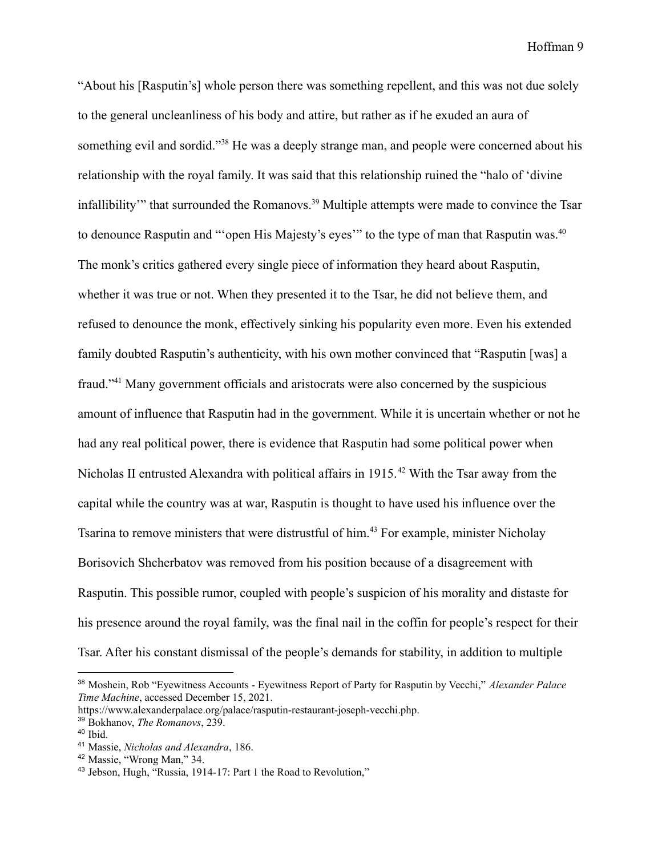"About his [Rasputin's] whole person there was something repellent, and this was not due solely to the general uncleanliness of his body and attire, but rather as if he exuded an aura of something evil and sordid."<sup>38</sup> He was a deeply strange man, and people were concerned about his relationship with the royal family. It was said that this relationship ruined the "halo of 'divine infallibility'" that surrounded the Romanovs.<sup>39</sup> Multiple attempts were made to convince the Tsar to denounce Rasputin and ""open His Majesty's eyes" to the type of man that Rasputin was.<sup>40</sup> The monk's critics gathered every single piece of information they heard about Rasputin, whether it was true or not. When they presented it to the Tsar, he did not believe them, and refused to denounce the monk, effectively sinking his popularity even more. Even his extended family doubted Rasputin's authenticity, with his own mother convinced that "Rasputin [was] a fraud."<sup>41</sup> Many government officials and aristocrats were also concerned by the suspicious amount of influence that Rasputin had in the government. While it is uncertain whether or not he had any real political power, there is evidence that Rasputin had some political power when Nicholas II entrusted Alexandra with political affairs in  $1915<sup>42</sup>$  With the Tsar away from the capital while the country was at war, Rasputin is thought to have used his influence over the Tsarina to remove ministers that were distrustful of him.<sup>43</sup> For example, minister Nicholay Borisovich Shcherbatov was removed from his position because of a disagreement with Rasputin. This possible rumor, coupled with people's suspicion of his morality and distaste for his presence around the royal family, was the final nail in the coffin for people's respect for their Tsar. After his constant dismissal of the people's demands for stability, in addition to multiple

<sup>38</sup> Moshein, Rob "Eyewitness Accounts - Eyewitness Report of Party for Rasputin by Vecchi," *Alexander Palace Time Machine*, accessed December 15, 2021.

https://www.alexanderpalace.org/palace/rasputin-restaurant-joseph-vecchi.php.

<sup>39</sup> Bokhanov, *The Romanovs*, 239.

 $40$  Ibid.

<sup>41</sup> Massie, *Nicholas and Alexandra*, 186.

<sup>42</sup> Massie, "Wrong Man," 34.

<sup>43</sup> Jebson, Hugh, "Russia, 1914-17: Part 1 the Road to Revolution,"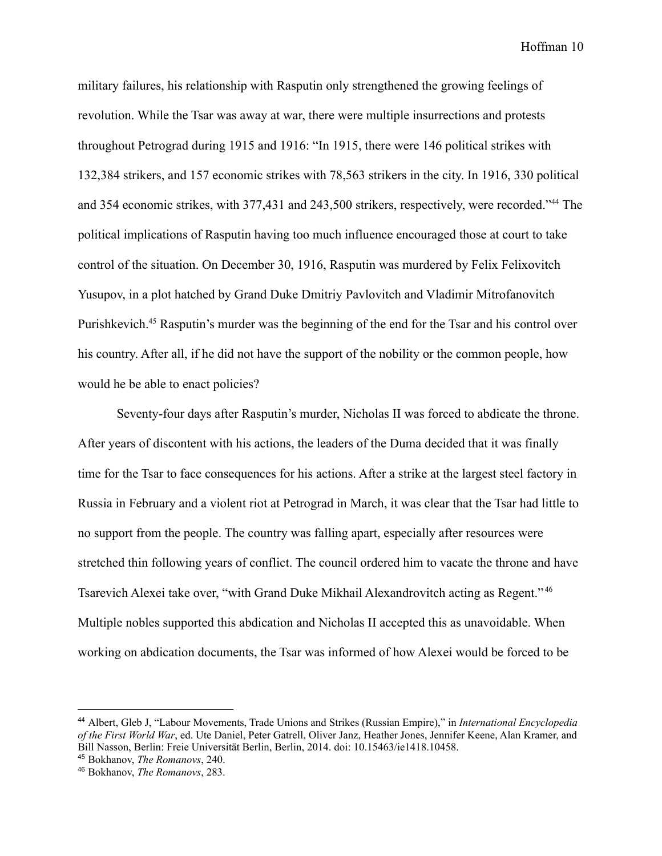military failures, his relationship with Rasputin only strengthened the growing feelings of revolution. While the Tsar was away at war, there were multiple insurrections and protests throughout Petrograd during 1915 and 1916: "In 1915, there were 146 political strikes with 132,384 strikers, and 157 economic strikes with 78,563 strikers in the city. In 1916, 330 political and 354 economic strikes, with 377,431 and 243,500 strikers, respectively, were recorded."<sup>44</sup> The political implications of Rasputin having too much influence encouraged those at court to take control of the situation. On December 30, 1916, Rasputin was murdered by Felix Felixovitch Yusupov, in a plot hatched by Grand Duke Dmitriy Pavlovitch and Vladimir Mitrofanovitch Purishkevich.<sup>45</sup> Rasputin's murder was the beginning of the end for the Tsar and his control over his country. After all, if he did not have the support of the nobility or the common people, how would he be able to enact policies?

Seventy-four days after Rasputin's murder, Nicholas II was forced to abdicate the throne. After years of discontent with his actions, the leaders of the Duma decided that it was finally time for the Tsar to face consequences for his actions. After a strike at the largest steel factory in Russia in February and a violent riot at Petrograd in March, it was clear that the Tsar had little to no support from the people. The country was falling apart, especially after resources were stretched thin following years of conflict. The council ordered him to vacate the throne and have Tsarevich Alexei take over, "with Grand Duke Mikhail Alexandrovitch acting as Regent." <sup>46</sup> Multiple nobles supported this abdication and Nicholas II accepted this as unavoidable. When working on abdication documents, the Tsar was informed of how Alexei would be forced to be

<sup>44</sup> Albert, Gleb J, "Labour Movements, Trade Unions and Strikes (Russian Empire)," in *International Encyclopedia of the First World War*, ed. Ute Daniel, Peter Gatrell, Oliver Janz, Heather Jones, Jennifer Keene, Alan Kramer, and Bill Nasson, Berlin: Freie Universität Berlin, Berlin, 2014. doi: 10.15463/ie1418.10458.

<sup>45</sup> Bokhanov, *The Romanovs*, 240.

<sup>46</sup> Bokhanov, *The Romanovs*, 283.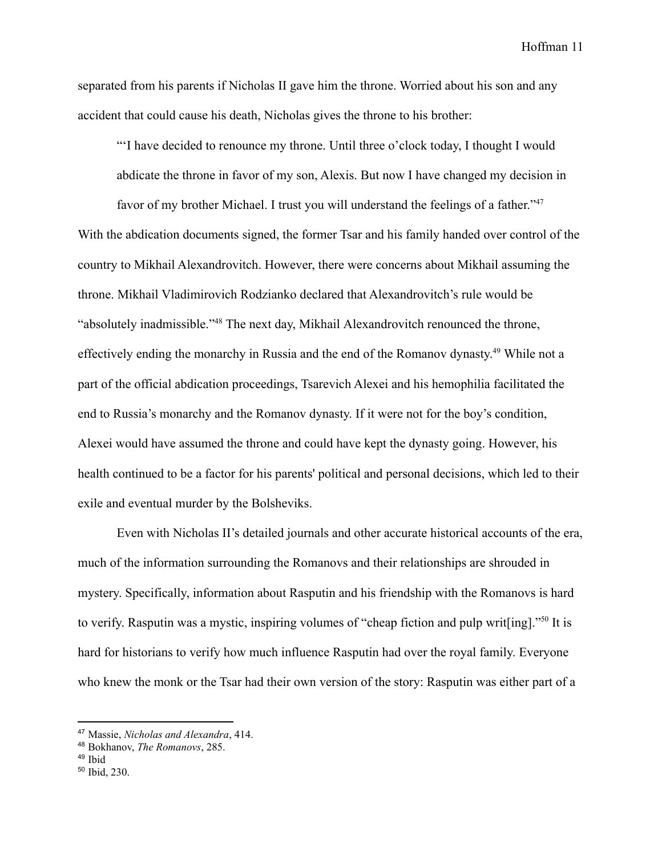separated from his parents if Nicholas II gave him the throne. Worried about his son and any accident that could cause his death, Nicholas gives the throne to his brother:

"'I have decided to renounce my throne. Until three o'clock today, I thought I would abdicate the throne in favor of my son, Alexis. But now I have changed my decision in favor of my brother Michael. I trust you will understand the feelings of a father."<sup>47</sup> With the abdication documents signed, the former Tsar and his family handed over control of the country to Mikhail Alexandrovitch. However, there were concerns about Mikhail assuming the throne. Mikhail Vladimirovich Rodzianko declared that Alexandrovitch's rule would be "absolutely inadmissible."<sup>48</sup> The next day, Mikhail Alexandrovitch renounced the throne, effectively ending the monarchy in Russia and the end of the Romanov dynasty.<sup>49</sup> While not a part of the official abdication proceedings, Tsarevich Alexei and his hemophilia facilitated the end to Russia's monarchy and the Romanov dynasty. If it were not for the boy's condition, Alexei would have assumed the throne and could have kept the dynasty going. However, his health continued to be a factor for his parents' political and personal decisions, which led to their exile and eventual murder by the Bolsheviks.

Even with Nicholas II's detailed journals and other accurate historical accounts of the era, much of the information surrounding the Romanovs and their relationships are shrouded in mystery. Specifically, information about Rasputin and his friendship with the Romanovs is hard to verify. Rasputin was a mystic, inspiring volumes of "cheap fiction and pulp writ[ing]."<sup>50</sup> It is hard for historians to verify how much influence Rasputin had over the royal family. Everyone who knew the monk or the Tsar had their own version of the story: Rasputin was either part of a

<sup>47</sup> Massie, *Nicholas and Alexandra*, 414.

<sup>48</sup> Bokhanov, *The Romanovs*, 285.

<sup>49</sup> Ibid

<sup>50</sup> Ibid, 230.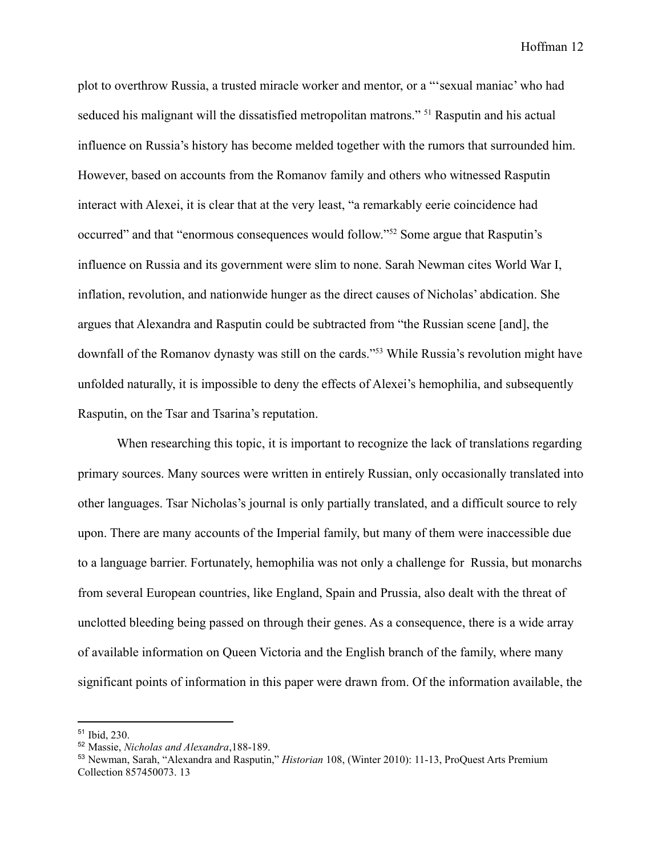plot to overthrow Russia, a trusted miracle worker and mentor, or a "'sexual maniac' who had seduced his malignant will the dissatisfied metropolitan matrons." <sup>51</sup> Rasputin and his actual influence on Russia's history has become melded together with the rumors that surrounded him. However, based on accounts from the Romanov family and others who witnessed Rasputin interact with Alexei, it is clear that at the very least, "a remarkably eerie coincidence had occurred" and that "enormous consequences would follow."<sup>52</sup> Some argue that Rasputin's influence on Russia and its government were slim to none. Sarah Newman cites World War I, inflation, revolution, and nationwide hunger as the direct causes of Nicholas' abdication. She argues that Alexandra and Rasputin could be subtracted from "the Russian scene [and], the downfall of the Romanov dynasty was still on the cards."<sup>53</sup> While Russia's revolution might have unfolded naturally, it is impossible to deny the effects of Alexei's hemophilia, and subsequently Rasputin, on the Tsar and Tsarina's reputation.

When researching this topic, it is important to recognize the lack of translations regarding primary sources. Many sources were written in entirely Russian, only occasionally translated into other languages. Tsar Nicholas's journal is only partially translated, and a difficult source to rely upon. There are many accounts of the Imperial family, but many of them were inaccessible due to a language barrier. Fortunately, hemophilia was not only a challenge for Russia, but monarchs from several European countries, like England, Spain and Prussia, also dealt with the threat of unclotted bleeding being passed on through their genes. As a consequence, there is a wide array of available information on Queen Victoria and the English branch of the family, where many significant points of information in this paper were drawn from. Of the information available, the

<sup>51</sup> Ibid, 230.

<sup>52</sup> Massie, *Nicholas and Alexandra*,188-189.

<sup>53</sup> Newman, Sarah, "Alexandra and Rasputin," *Historian* 108, (Winter 2010): 11-13, ProQuest Arts Premium Collection 857450073. 13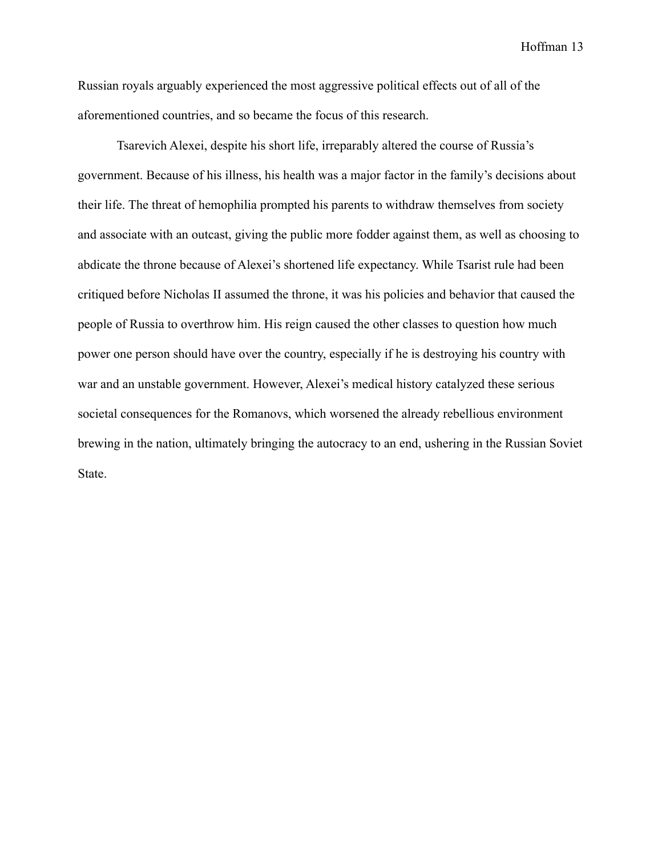Russian royals arguably experienced the most aggressive political effects out of all of the aforementioned countries, and so became the focus of this research.

Tsarevich Alexei, despite his short life, irreparably altered the course of Russia's government. Because of his illness, his health was a major factor in the family's decisions about their life. The threat of hemophilia prompted his parents to withdraw themselves from society and associate with an outcast, giving the public more fodder against them, as well as choosing to abdicate the throne because of Alexei's shortened life expectancy. While Tsarist rule had been critiqued before Nicholas II assumed the throne, it was his policies and behavior that caused the people of Russia to overthrow him. His reign caused the other classes to question how much power one person should have over the country, especially if he is destroying his country with war and an unstable government. However, Alexei's medical history catalyzed these serious societal consequences for the Romanovs, which worsened the already rebellious environment brewing in the nation, ultimately bringing the autocracy to an end, ushering in the Russian Soviet State.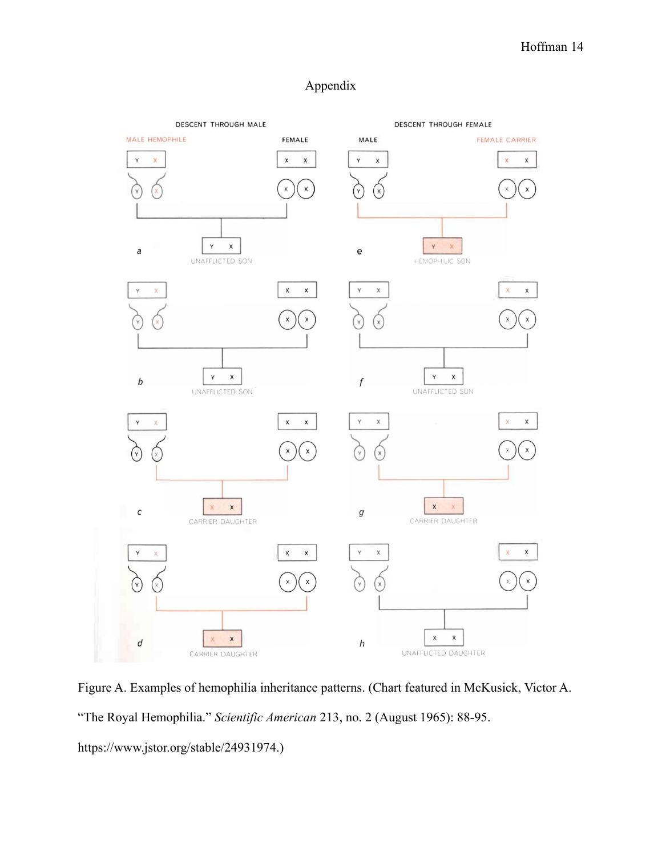### Appendix



Figure A. Examples of hemophilia inheritance patterns. (Chart featured in McKusick, Victor A. "The Royal Hemophilia." *Scientific American* 213, no. 2 (August 1965): 88-95. https://www.jstor.org/stable/24931974.)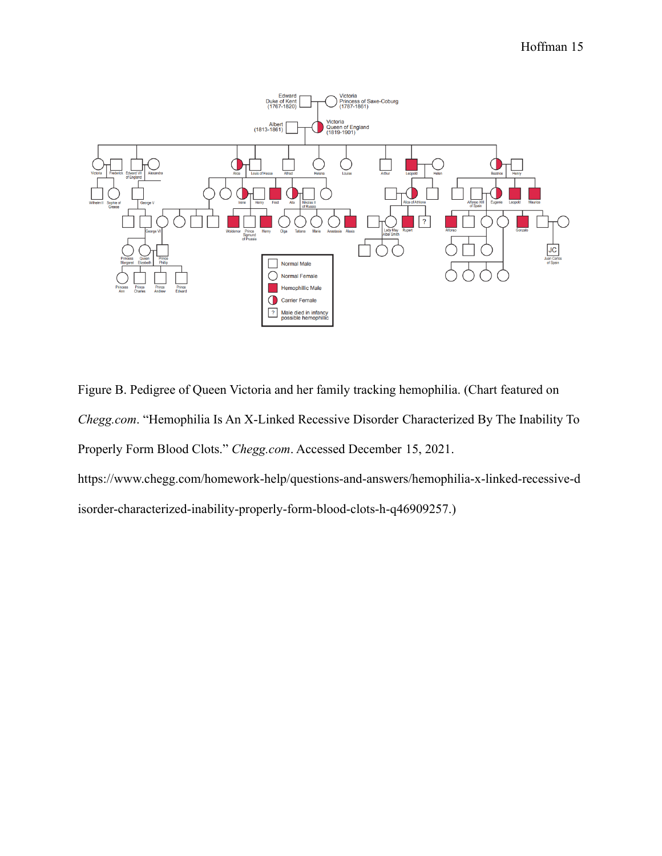

Figure B. Pedigree of Queen Victoria and her family tracking hemophilia. (Chart featured on *Chegg.com*. "Hemophilia Is An X-Linked Recessive Disorder Characterized By The Inability To Properly Form Blood Clots." *Chegg.com*. Accessed December 15, 2021. https://www.chegg.com/homework-help/questions-and-answers/hemophilia-x-linked-recessive-d

isorder-characterized-inability-properly-form-blood-clots-h-q46909257.)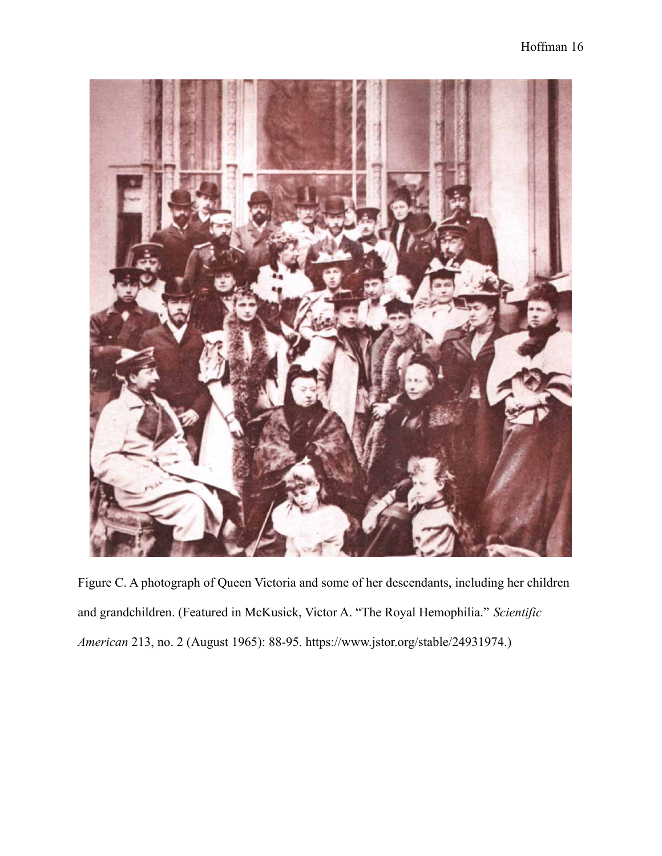

Figure C. A photograph of Queen Victoria and some of her descendants, including her children and grandchildren. (Featured in McKusick, Victor A. "The Royal Hemophilia." *Scientific American* 213, no. 2 (August 1965): 88-95. https://www.jstor.org/stable/24931974.)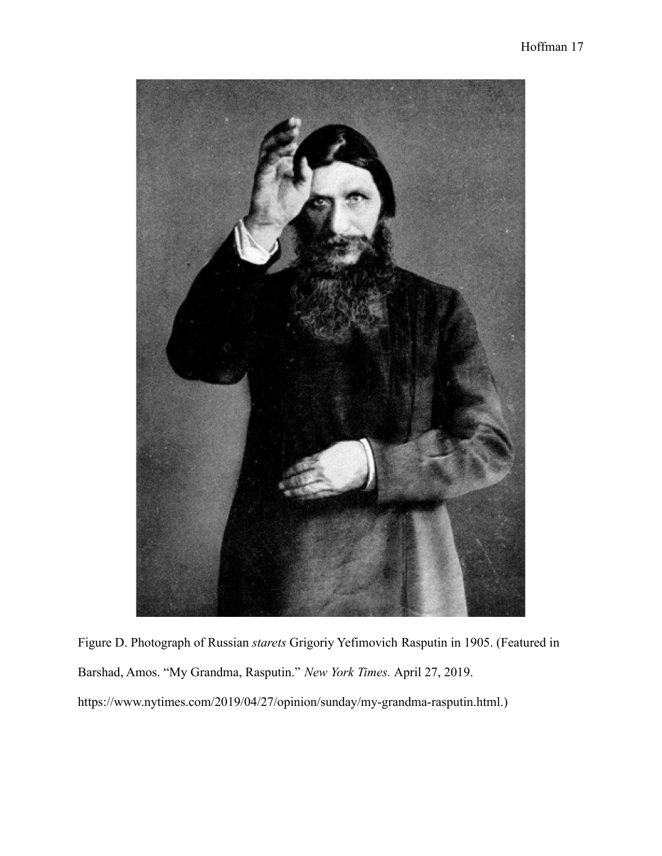Figure D. Photograph of Russian *starets* Grigoriy Yefimovich Rasputin in 1905. (Featured in Barshad, Amos. "My Grandma, Rasputin." *New York Times.* April 27, 2019. https://www.nytimes.com/2019/04/27/opinion/sunday/my-grandma-rasputin.html.)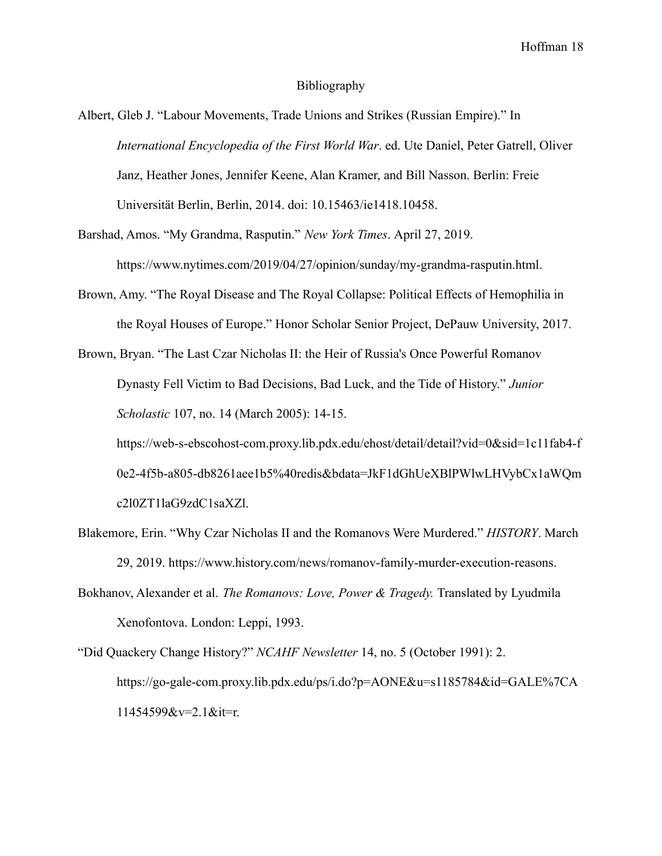#### Bibliography

Albert, Gleb J. "Labour Movements, Trade Unions and Strikes (Russian Empire)." In *International Encyclopedia of the First World War*. ed. Ute Daniel, Peter Gatrell, Oliver Janz, Heather Jones, Jennifer Keene, Alan Kramer, and Bill Nasson. Berlin: Freie Universität Berlin, Berlin, 2014. doi: 10.15463/ie1418.10458.

Barshad, Amos. "My Grandma, Rasputin." *New York Times*. April 27, 2019. https://www.nytimes.com/2019/04/27/opinion/sunday/my-grandma-rasputin.html.

Brown, Amy. "The Royal Disease and The Royal Collapse: Political Effects of Hemophilia in the Royal Houses of Europe." Honor Scholar Senior Project, DePauw University, 2017.

Brown, Bryan. "The Last Czar Nicholas II: the Heir of Russia's Once Powerful Romanov Dynasty Fell Victim to Bad Decisions, Bad Luck, and the Tide of History." *Junior Scholastic* 107, no. 14 (March 2005): 14-15. https://web-s-ebscohost-com.proxy.lib.pdx.edu/ehost/detail/detail?vid=0&sid=1c11fab4-f 0e2-4f5b-a805-db8261aee1b5%40redis&bdata=JkF1dGhUeXBlPWlwLHVybCx1aWQm

c2l0ZT1laG9zdC1saXZl.

- Blakemore, Erin. "Why Czar Nicholas II and the Romanovs Were Murdered." *HISTORY*. March 29, 2019. https://www.history.com/news/romanov-family-murder-execution-reasons.
- Bokhanov, Alexander et al. *The Romanovs: Love, Power & Tragedy.* Translated by Lyudmila Xenofontova. London: Leppi, 1993.

"Did Quackery Change History?" *NCAHF Newsletter* 14, no. 5 (October 1991): 2. https://go-gale-com.proxy.lib.pdx.edu/ps/i.do?p=AONE&u=s1185784&id=GALE%7CA 11454599&v=2.1&it=r.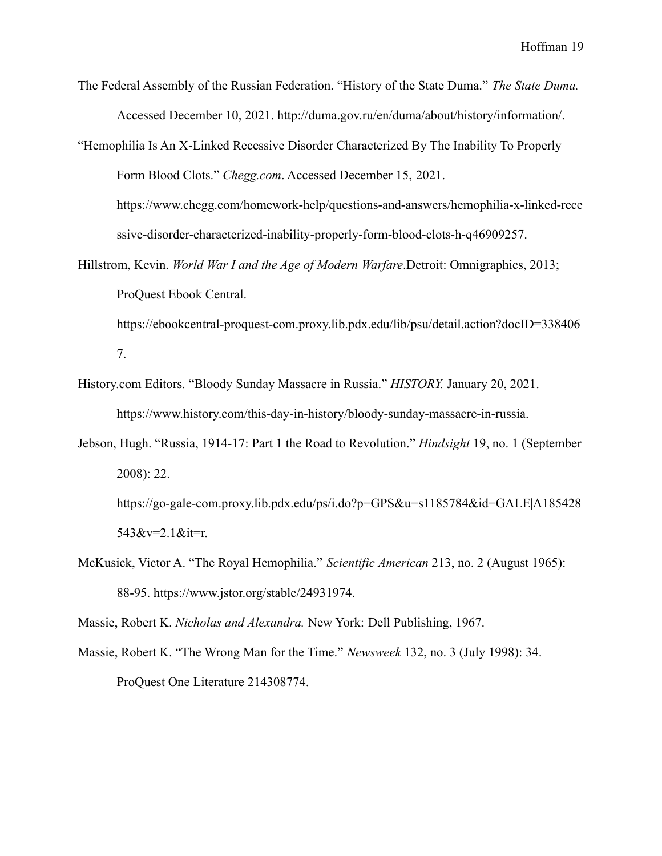- The Federal Assembly of the Russian Federation. "History of the State Duma." *The State Duma.* Accessed December 10, 2021. http://duma.gov.ru/en/duma/about/history/information/.
- "Hemophilia Is An X-Linked Recessive Disorder Characterized By The Inability To Properly Form Blood Clots." *Chegg.com*. Accessed December 15, 2021. https://www.chegg.com/homework-help/questions-and-answers/hemophilia-x-linked-rece

ssive-disorder-characterized-inability-properly-form-blood-clots-h-q46909257.

Hillstrom, Kevin. *World War I and the Age of Modern Warfare*.Detroit: Omnigraphics, 2013; ProQuest Ebook Central.

https://ebookcentral-proquest-com.proxy.lib.pdx.edu/lib/psu/detail.action?docID=338406 7.

- History.com Editors. "Bloody Sunday Massacre in Russia." *HISTORY.* January 20, 2021. https://www.history.com/this-day-in-history/bloody-sunday-massacre-in-russia.
- Jebson, Hugh. "Russia, 1914-17: Part 1 the Road to Revolution." *Hindsight* 19, no. 1 (September 2008): 22. https://go-gale-com.proxy.lib.pdx.edu/ps/i.do?p=GPS&u=s1185784&id=GALE|A185428 543&v=2.1&it=r.
- McKusick, Victor A. "The Royal Hemophilia." *Scientific American* 213, no. 2 (August 1965): 88-95. https://www.jstor.org/stable/24931974.

Massie, Robert K. *Nicholas and Alexandra.* New York: Dell Publishing, 1967.

Massie, Robert K. "The Wrong Man for the Time." *Newsweek* 132, no. 3 (July 1998): 34. ProQuest One Literature 214308774.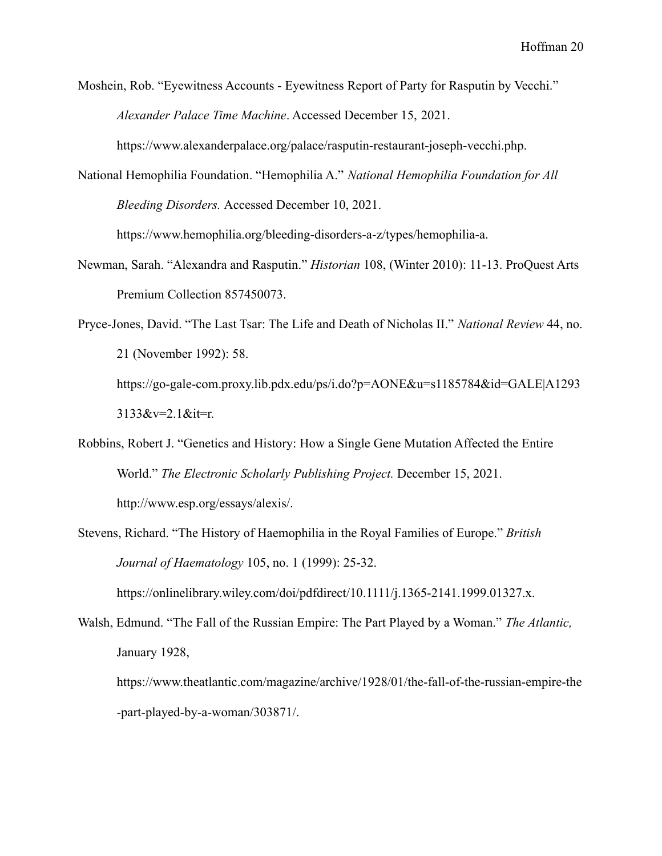Moshein, Rob. "Eyewitness Accounts - Eyewitness Report of Party for Rasputin by Vecchi." *Alexander Palace Time Machine*. Accessed December 15, 2021.

https://www.alexanderpalace.org/palace/rasputin-restaurant-joseph-vecchi.php.

National Hemophilia Foundation. "Hemophilia A." *National Hemophilia Foundation for All Bleeding Disorders.* Accessed December 10, 2021.

https://www.hemophilia.org/bleeding-disorders-a-z/types/hemophilia-a.

- Newman, Sarah. "Alexandra and Rasputin." *Historian* 108, (Winter 2010): 11-13. ProQuest Arts Premium Collection 857450073.
- Pryce-Jones, David. "The Last Tsar: The Life and Death of Nicholas II." *National Review* 44, no. 21 (November 1992): 58. https://go-gale-com.proxy.lib.pdx.edu/ps/i.do?p=AONE&u=s1185784&id=GALE|A1293 3133&v=2.1&it=r.
- Robbins, Robert J. "Genetics and History: How a Single Gene Mutation Affected the Entire World." *The Electronic Scholarly Publishing Project.* December 15, 2021. http://www.esp.org/essays/alexis/.
- Stevens, Richard. "The History of Haemophilia in the Royal Families of Europe." *British Journal of Haematology* 105, no. 1 (1999): 25-32.

https://onlinelibrary.wiley.com/doi/pdfdirect/10.1111/j.1365-2141.1999.01327.x.

Walsh, Edmund. "The Fall of the Russian Empire: The Part Played by a Woman." *The Atlantic,* January 1928,

https://www.theatlantic.com/magazine/archive/1928/01/the-fall-of-the-russian-empire-the -part-played-by-a-woman/303871/.